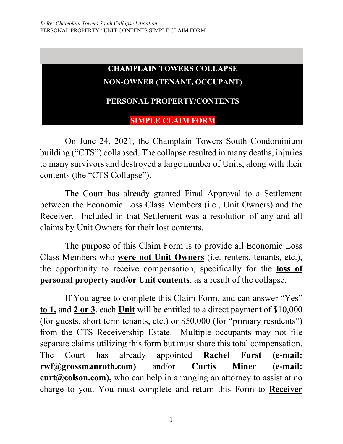## **CHAMPLAIN TOWERS COLLAPSE NON-OWNER (TENANT, OCCUPANT)**

#### **PERSONAL PROPERTY/CONTENTS**

**SIMPLE CLAIM FORM**

On June 24, 2021, the Champlain Towers South Condominium building ("CTS") collapsed. The collapse resulted in many deaths, injuries to many survivors and destroyed a large number of Units, along with their contents (the "CTS Collapse").

The Court has already granted Final Approval to a Settlement between the Economic Loss Class Members (i.e., Unit Owners) and the Receiver. Included in that Settlement was a resolution of any and all claims by Unit Owners for their lost contents.

The purpose of this Claim Form is to provide all Economic Loss Class Members who **were not Unit Owners** (i.e. renters, tenants, etc.), the opportunity to receive compensation, specifically for the **loss of personal property and/or Unit contents**, as a result of the collapse.

If You agree to complete this Claim Form, and can answer "Yes" **to 1,** and **2 or 3**, each **Unit** will be entitled to a direct payment of \$10,000 (for guests, short term tenants, etc.) or \$50,000 (for "primary residents") from the CTS Receivership Estate. Multiple occupants may not file separate claims utilizing this form but must share this total compensation. The Court has already appointed **Rachel Furst (e-mail: rwf@grossmanroth.com)** and/or **Curtis Miner (e-mail: curt@colson.com),** who can help in arranging an attorney to assist at no charge to you. You must complete and return this Form to **Receiver**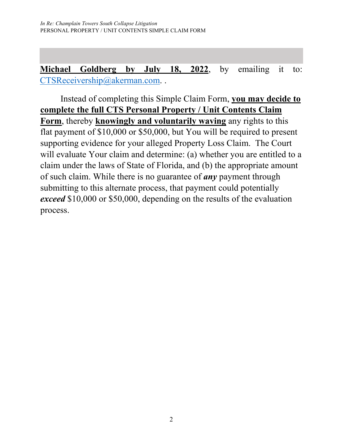**Michael Goldberg by July 18, 2022**, by emailing it to: [CTSReceivership@akerman.com.](mailto:michael.goldberg@akerman.com).

Instead of completing this Simple Claim Form, **you may decide to complete the full CTS Personal Property / Unit Contents Claim Form**, thereby **knowingly and voluntarily waving** any rights to this flat payment of \$10,000 or \$50,000, but You will be required to present supporting evidence for your alleged Property Loss Claim. The Court will evaluate Your claim and determine: (a) whether you are entitled to a claim under the laws of State of Florida, and (b) the appropriate amount of such claim. While there is no guarantee of *any* payment through submitting to this alternate process, that payment could potentially *exceed* \$10,000 or \$50,000, depending on the results of the evaluation process.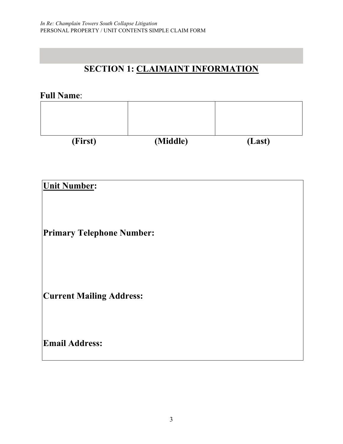## **SECTION 1: CLAIMAINT INFORMATION**

#### **Full Name**:

| (First) | (Middle) | (Last) |
|---------|----------|--------|

**Unit Number:** 

**Primary Telephone Number:**

**Current Mailing Address:** 

**Email Address:**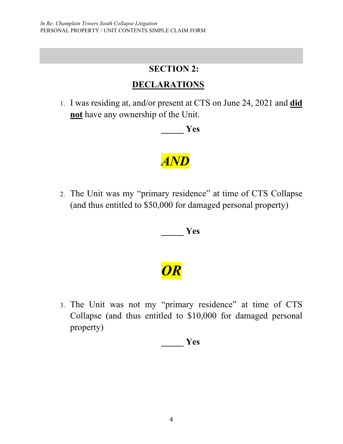#### **SECTION 2:**

### **DECLARATIONS**

1. I was residing at, and/or present at CTS on June 24, 2021 and **did not** have any ownership of the Unit.

**\_\_\_\_\_ Yes** 

# *AND*

2. The Unit was my "primary residence" at time of CTS Collapse (and thus entitled to \$50,000 for damaged personal property)

**\_\_\_\_\_ Yes** 

*OR* 

3. The Unit was not my "primary residence" at time of CTS Collapse (and thus entitled to \$10,000 for damaged personal property)

**\_\_\_\_\_ Yes**